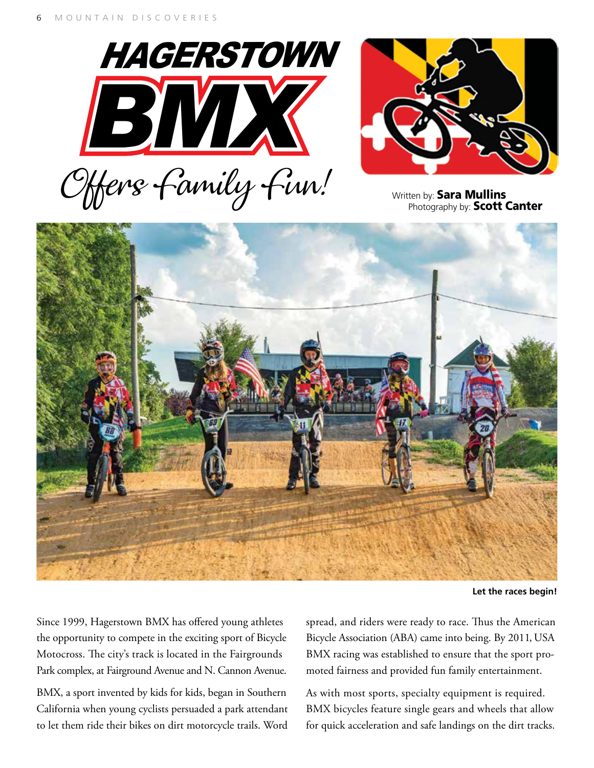





**Let the races begin!**

Since 1999, Hagerstown BMX has offered young athletes the opportunity to compete in the exciting sport of Bicycle Motocross. The city's track is located in the Fairgrounds Park complex, at Fairground Avenue and N. Cannon Avenue.

BMX, a sport invented by kids for kids, began in Southern California when young cyclists persuaded a park attendant to let them ride their bikes on dirt motorcycle trails. Word spread, and riders were ready to race. Thus the American Bicycle Association (ABA) came into being. By 2011, USA BMX racing was established to ensure that the sport promoted fairness and provided fun family entertainment.

As with most sports, specialty equipment is required. BMX bicycles feature single gears and wheels that allow for quick acceleration and safe landings on the dirt tracks.